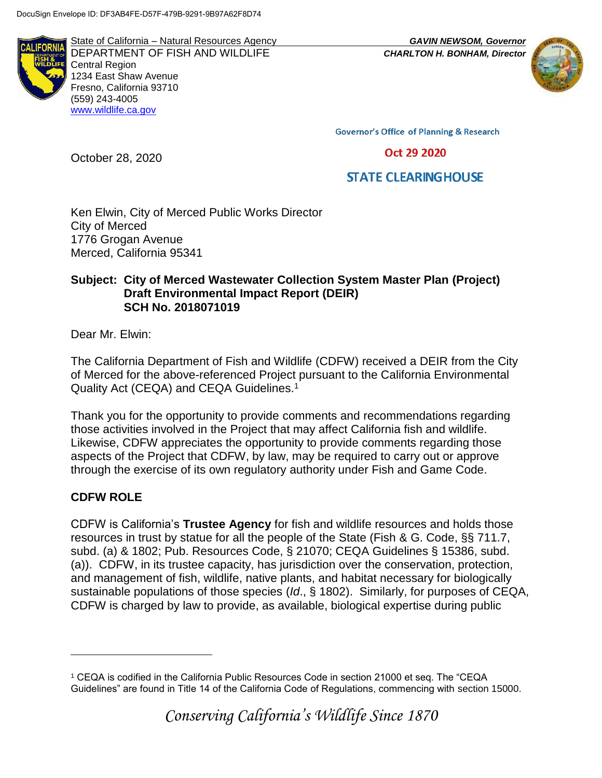**ALIFORN** 

State of California – Natural Resources Agency *GAVIN NEWSOM, Governor* DEPARTMENT OF FISH AND WILDLIFE *CHARLTON H. BONHAM, Director*  Central Region 1234 East Shaw Avenue Fresno, California 93710 (559) 243-4005 [www.wildlife.ca.gov](http://www.cdfw.ca.gov/)



**Governor's Office of Planning & Research** 

Oct 29 2020

# **STATE CLEARING HOUSE**

Ken Elwin, City of Merced Public Works Director City of Merced 1776 Grogan Avenue Merced, California 95341

#### **Subject: City of Merced Wastewater Collection System Master Plan (Project) Draft Environmental Impact Report (DEIR) SCH No. 2018071019**

Dear Mr. Elwin:

October 28, 2020

The California Department of Fish and Wildlife (CDFW) received a DEIR from the City of Merced for the above-referenced Project pursuant to the California Environmental Quality Act (CEQA) and CEQA Guidelines.<sup>1</sup>

Thank you for the opportunity to provide comments and recommendations regarding those activities involved in the Project that may affect California fish and wildlife. Likewise, CDFW appreciates the opportunity to provide comments regarding those aspects of the Project that CDFW, by law, may be required to carry out or approve through the exercise of its own regulatory authority under Fish and Game Code.

# **CDFW ROLE**

 $\overline{a}$ 

CDFW is California's **Trustee Agency** for fish and wildlife resources and holds those resources in trust by statue for all the people of the State (Fish & G. Code, §§ 711.7, subd. (a) & 1802; Pub. Resources Code, § 21070; CEQA Guidelines § 15386, subd. (a)). CDFW, in its trustee capacity, has jurisdiction over the conservation, protection, and management of fish, wildlife, native plants, and habitat necessary for biologically sustainable populations of those species (*Id*., § 1802). Similarly, for purposes of CEQA, CDFW is charged by law to provide, as available, biological expertise during public

<sup>1</sup> CEQA is codified in the California Public Resources Code in section 21000 et seq. The "CEQA Guidelines" are found in Title 14 of the California Code of Regulations, commencing with section 15000.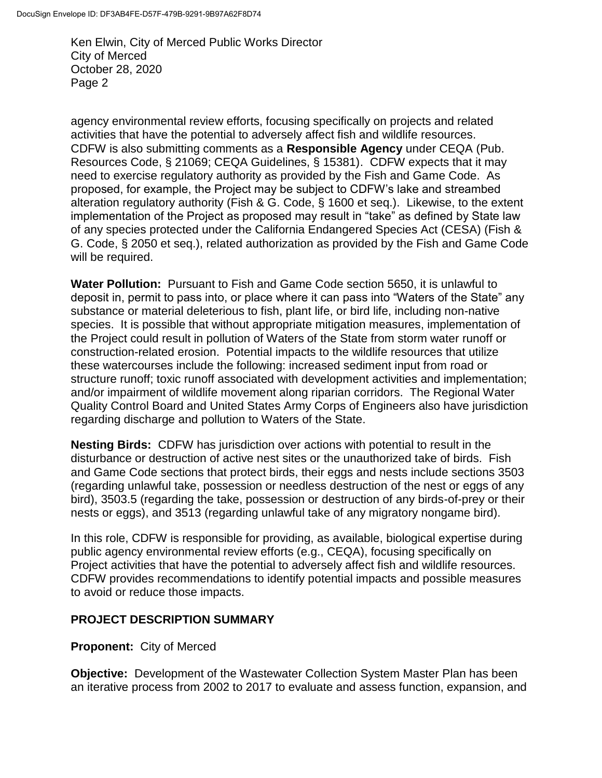agency environmental review efforts, focusing specifically on projects and related activities that have the potential to adversely affect fish and wildlife resources. CDFW is also submitting comments as a **Responsible Agency** under CEQA (Pub. Resources Code, § 21069; CEQA Guidelines, § 15381). CDFW expects that it may need to exercise regulatory authority as provided by the Fish and Game Code. As proposed, for example, the Project may be subject to CDFW's lake and streambed alteration regulatory authority (Fish & G. Code, § 1600 et seq.). Likewise, to the extent implementation of the Project as proposed may result in "take" as defined by State law of any species protected under the California Endangered Species Act (CESA) (Fish & G. Code, § 2050 et seq.), related authorization as provided by the Fish and Game Code will be required.

**Water Pollution:** Pursuant to Fish and Game Code section 5650, it is unlawful to deposit in, permit to pass into, or place where it can pass into "Waters of the State" any substance or material deleterious to fish, plant life, or bird life, including non-native species. It is possible that without appropriate mitigation measures, implementation of the Project could result in pollution of Waters of the State from storm water runoff or construction-related erosion. Potential impacts to the wildlife resources that utilize these watercourses include the following: increased sediment input from road or structure runoff; toxic runoff associated with development activities and implementation; and/or impairment of wildlife movement along riparian corridors. The Regional Water Quality Control Board and United States Army Corps of Engineers also have jurisdiction regarding discharge and pollution to Waters of the State.

**Nesting Birds:** CDFW has jurisdiction over actions with potential to result in the disturbance or destruction of active nest sites or the unauthorized take of birds. Fish and Game Code sections that protect birds, their eggs and nests include sections 3503 (regarding unlawful take, possession or needless destruction of the nest or eggs of any bird), 3503.5 (regarding the take, possession or destruction of any birds-of-prey or their nests or eggs), and 3513 (regarding unlawful take of any migratory nongame bird).

In this role, CDFW is responsible for providing, as available, biological expertise during public agency environmental review efforts (e.g., CEQA), focusing specifically on Project activities that have the potential to adversely affect fish and wildlife resources. CDFW provides recommendations to identify potential impacts and possible measures to avoid or reduce those impacts.

#### **PROJECT DESCRIPTION SUMMARY**

#### **Proponent:** City of Merced

**Objective:** Development of the Wastewater Collection System Master Plan has been an iterative process from 2002 to 2017 to evaluate and assess function, expansion, and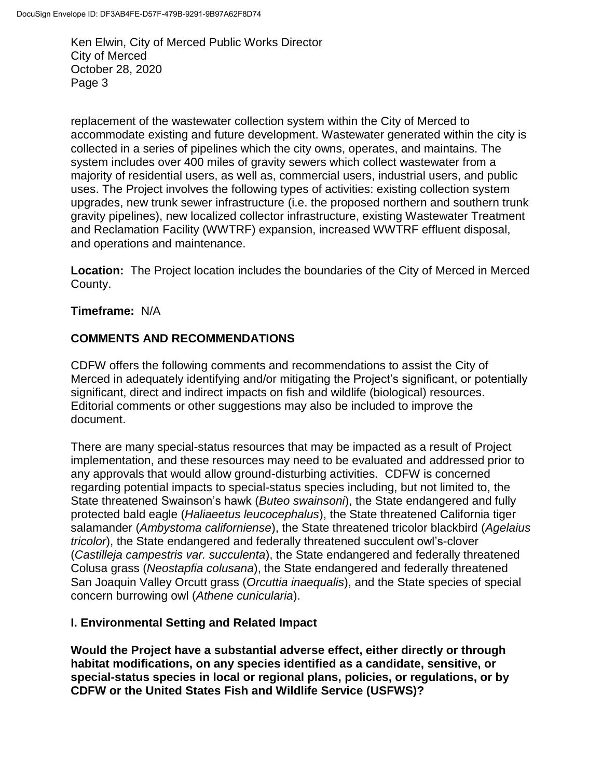replacement of the wastewater collection system within the City of Merced to accommodate existing and future development. Wastewater generated within the city is collected in a series of pipelines which the city owns, operates, and maintains. The system includes over 400 miles of gravity sewers which collect wastewater from a majority of residential users, as well as, commercial users, industrial users, and public uses. The Project involves the following types of activities: existing collection system upgrades, new trunk sewer infrastructure (i.e. the proposed northern and southern trunk gravity pipelines), new localized collector infrastructure, existing Wastewater Treatment and Reclamation Facility (WWTRF) expansion, increased WWTRF effluent disposal, and operations and maintenance.

**Location:** The Project location includes the boundaries of the City of Merced in Merced County.

**Timeframe:** N/A

# **COMMENTS AND RECOMMENDATIONS**

CDFW offers the following comments and recommendations to assist the City of Merced in adequately identifying and/or mitigating the Project's significant, or potentially significant, direct and indirect impacts on fish and wildlife (biological) resources. Editorial comments or other suggestions may also be included to improve the document.

There are many special-status resources that may be impacted as a result of Project implementation, and these resources may need to be evaluated and addressed prior to any approvals that would allow ground-disturbing activities. CDFW is concerned regarding potential impacts to special-status species including, but not limited to, the State threatened Swainson's hawk (*Buteo swainsoni*), the State endangered and fully protected bald eagle (*Haliaeetus leucocephalus*), the State threatened California tiger salamander (*Ambystoma californiense*), the State threatened tricolor blackbird (*Agelaius tricolor*), the State endangered and federally threatened succulent owl's-clover (*Castilleja campestris var. succulenta*), the State endangered and federally threatened Colusa grass (*Neostapfia colusana*), the State endangered and federally threatened San Joaquin Valley Orcutt grass (*Orcuttia inaequalis*), and the State species of special concern burrowing owl (*Athene cunicularia*).

#### **I. Environmental Setting and Related Impact**

**Would the Project have a substantial adverse effect, either directly or through habitat modifications, on any species identified as a candidate, sensitive, or special-status species in local or regional plans, policies, or regulations, or by CDFW or the United States Fish and Wildlife Service (USFWS)?**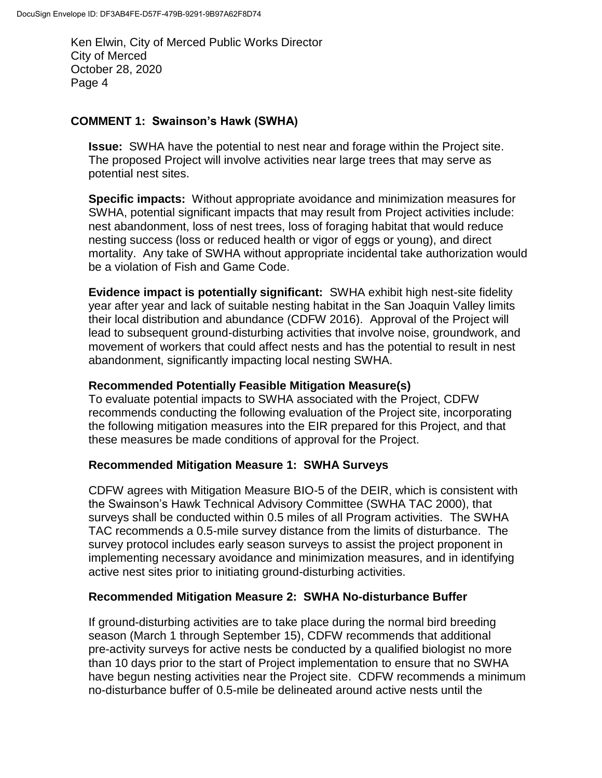### **COMMENT 1: Swainson's Hawk (SWHA)**

**Issue:** SWHA have the potential to nest near and forage within the Project site. The proposed Project will involve activities near large trees that may serve as potential nest sites.

**Specific impacts:** Without appropriate avoidance and minimization measures for SWHA, potential significant impacts that may result from Project activities include: nest abandonment, loss of nest trees, loss of foraging habitat that would reduce nesting success (loss or reduced health or vigor of eggs or young), and direct mortality. Any take of SWHA without appropriate incidental take authorization would be a violation of Fish and Game Code.

**Evidence impact is potentially significant:** SWHA exhibit high nest-site fidelity year after year and lack of suitable nesting habitat in the San Joaquin Valley limits their local distribution and abundance (CDFW 2016). Approval of the Project will lead to subsequent ground-disturbing activities that involve noise, groundwork, and movement of workers that could affect nests and has the potential to result in nest abandonment, significantly impacting local nesting SWHA.

### **Recommended Potentially Feasible Mitigation Measure(s)**

To evaluate potential impacts to SWHA associated with the Project, CDFW recommends conducting the following evaluation of the Project site, incorporating the following mitigation measures into the EIR prepared for this Project, and that these measures be made conditions of approval for the Project.

#### **Recommended Mitigation Measure 1: SWHA Surveys**

CDFW agrees with Mitigation Measure BIO-5 of the DEIR, which is consistent with the Swainson's Hawk Technical Advisory Committee (SWHA TAC 2000), that surveys shall be conducted within 0.5 miles of all Program activities. The SWHA TAC recommends a 0.5-mile survey distance from the limits of disturbance. The survey protocol includes early season surveys to assist the project proponent in implementing necessary avoidance and minimization measures, and in identifying active nest sites prior to initiating ground-disturbing activities.

#### **Recommended Mitigation Measure 2: SWHA No-disturbance Buffer**

If ground-disturbing activities are to take place during the normal bird breeding season (March 1 through September 15), CDFW recommends that additional pre-activity surveys for active nests be conducted by a qualified biologist no more than 10 days prior to the start of Project implementation to ensure that no SWHA have begun nesting activities near the Project site. CDFW recommends a minimum no-disturbance buffer of 0.5-mile be delineated around active nests until the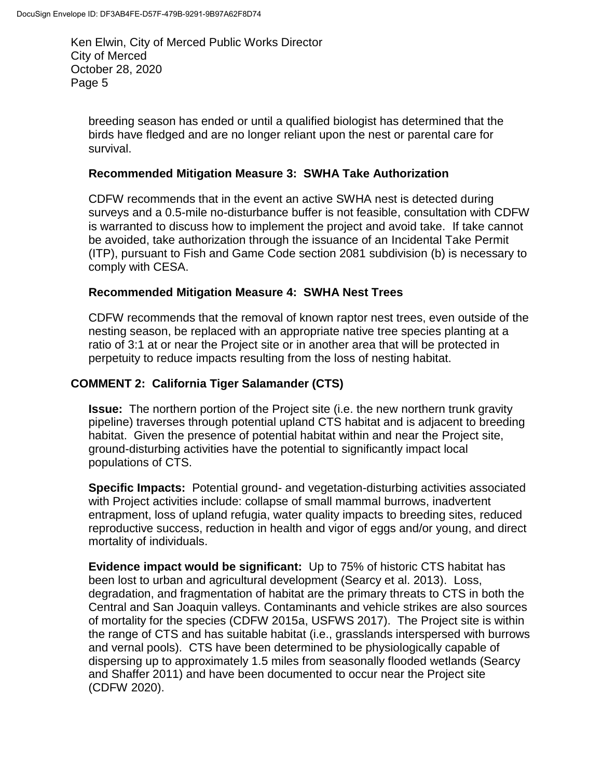breeding season has ended or until a qualified biologist has determined that the birds have fledged and are no longer reliant upon the nest or parental care for survival.

#### **Recommended Mitigation Measure 3: SWHA Take Authorization**

CDFW recommends that in the event an active SWHA nest is detected during surveys and a 0.5-mile no-disturbance buffer is not feasible, consultation with CDFW is warranted to discuss how to implement the project and avoid take. If take cannot be avoided, take authorization through the issuance of an Incidental Take Permit (ITP), pursuant to Fish and Game Code section 2081 subdivision (b) is necessary to comply with CESA.

#### **Recommended Mitigation Measure 4: SWHA Nest Trees**

CDFW recommends that the removal of known raptor nest trees, even outside of the nesting season, be replaced with an appropriate native tree species planting at a ratio of 3:1 at or near the Project site or in another area that will be protected in perpetuity to reduce impacts resulting from the loss of nesting habitat.

#### **COMMENT 2: California Tiger Salamander (CTS)**

**Issue:** The northern portion of the Project site (i.e. the new northern trunk gravity pipeline) traverses through potential upland CTS habitat and is adjacent to breeding habitat. Given the presence of potential habitat within and near the Project site, ground-disturbing activities have the potential to significantly impact local populations of CTS.

**Specific Impacts:** Potential ground- and vegetation-disturbing activities associated with Project activities include: collapse of small mammal burrows, inadvertent entrapment, loss of upland refugia, water quality impacts to breeding sites, reduced reproductive success, reduction in health and vigor of eggs and/or young, and direct mortality of individuals.

**Evidence impact would be significant:** Up to 75% of historic CTS habitat has been lost to urban and agricultural development (Searcy et al. 2013). Loss, degradation, and fragmentation of habitat are the primary threats to CTS in both the Central and San Joaquin valleys. Contaminants and vehicle strikes are also sources of mortality for the species (CDFW 2015a, USFWS 2017). The Project site is within the range of CTS and has suitable habitat (i.e., grasslands interspersed with burrows and vernal pools). CTS have been determined to be physiologically capable of dispersing up to approximately 1.5 miles from seasonally flooded wetlands (Searcy and Shaffer 2011) and have been documented to occur near the Project site (CDFW 2020).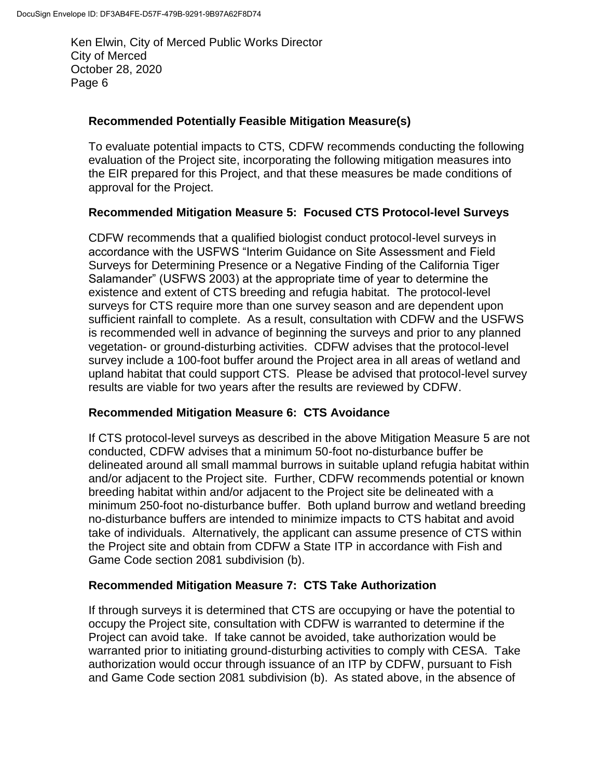### **Recommended Potentially Feasible Mitigation Measure(s)**

To evaluate potential impacts to CTS, CDFW recommends conducting the following evaluation of the Project site, incorporating the following mitigation measures into the EIR prepared for this Project, and that these measures be made conditions of approval for the Project.

## **Recommended Mitigation Measure 5: Focused CTS Protocol-level Surveys**

CDFW recommends that a qualified biologist conduct protocol-level surveys in accordance with the USFWS "Interim Guidance on Site Assessment and Field Surveys for Determining Presence or a Negative Finding of the California Tiger Salamander" (USFWS 2003) at the appropriate time of year to determine the existence and extent of CTS breeding and refugia habitat. The protocol-level surveys for CTS require more than one survey season and are dependent upon sufficient rainfall to complete. As a result, consultation with CDFW and the USFWS is recommended well in advance of beginning the surveys and prior to any planned vegetation- or ground-disturbing activities. CDFW advises that the protocol-level survey include a 100-foot buffer around the Project area in all areas of wetland and upland habitat that could support CTS. Please be advised that protocol-level survey results are viable for two years after the results are reviewed by CDFW.

#### **Recommended Mitigation Measure 6: CTS Avoidance**

If CTS protocol-level surveys as described in the above Mitigation Measure 5 are not conducted, CDFW advises that a minimum 50-foot no-disturbance buffer be delineated around all small mammal burrows in suitable upland refugia habitat within and/or adjacent to the Project site. Further, CDFW recommends potential or known breeding habitat within and/or adjacent to the Project site be delineated with a minimum 250-foot no-disturbance buffer. Both upland burrow and wetland breeding no-disturbance buffers are intended to minimize impacts to CTS habitat and avoid take of individuals. Alternatively, the applicant can assume presence of CTS within the Project site and obtain from CDFW a State ITP in accordance with Fish and Game Code section 2081 subdivision (b).

#### **Recommended Mitigation Measure 7: CTS Take Authorization**

If through surveys it is determined that CTS are occupying or have the potential to occupy the Project site, consultation with CDFW is warranted to determine if the Project can avoid take. If take cannot be avoided, take authorization would be warranted prior to initiating ground-disturbing activities to comply with CESA. Take authorization would occur through issuance of an ITP by CDFW, pursuant to Fish and Game Code section 2081 subdivision (b). As stated above, in the absence of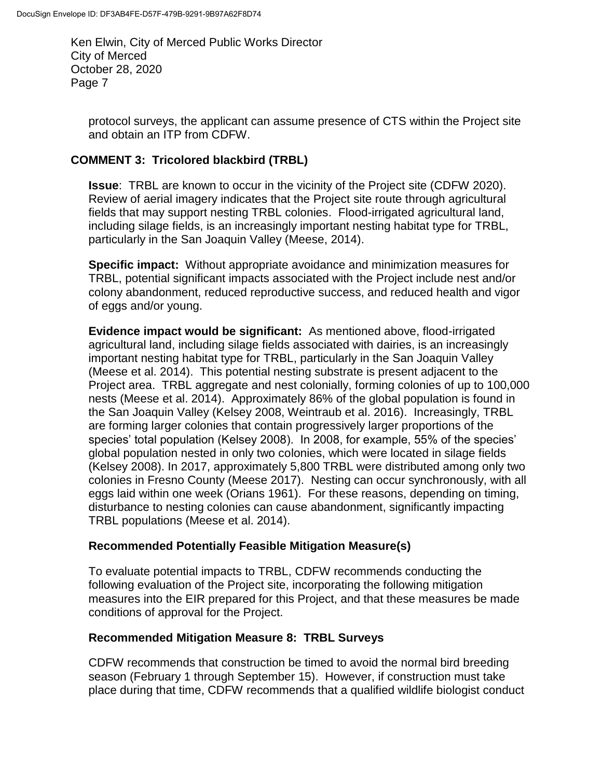protocol surveys, the applicant can assume presence of CTS within the Project site and obtain an ITP from CDFW.

## **COMMENT 3: Tricolored blackbird (TRBL)**

**Issue**: TRBL are known to occur in the vicinity of the Project site (CDFW 2020). Review of aerial imagery indicates that the Project site route through agricultural fields that may support nesting TRBL colonies. Flood-irrigated agricultural land, including silage fields, is an increasingly important nesting habitat type for TRBL, particularly in the San Joaquin Valley (Meese, 2014).

**Specific impact:** Without appropriate avoidance and minimization measures for TRBL, potential significant impacts associated with the Project include nest and/or colony abandonment, reduced reproductive success, and reduced health and vigor of eggs and/or young.

**Evidence impact would be significant:** As mentioned above, flood-irrigated agricultural land, including silage fields associated with dairies, is an increasingly important nesting habitat type for TRBL, particularly in the San Joaquin Valley (Meese et al. 2014). This potential nesting substrate is present adjacent to the Project area. TRBL aggregate and nest colonially, forming colonies of up to 100,000 nests (Meese et al. 2014). Approximately 86% of the global population is found in the San Joaquin Valley (Kelsey 2008, Weintraub et al. 2016). Increasingly, TRBL are forming larger colonies that contain progressively larger proportions of the species' total population (Kelsey 2008). In 2008, for example, 55% of the species' global population nested in only two colonies, which were located in silage fields (Kelsey 2008). In 2017, approximately 5,800 TRBL were distributed among only two colonies in Fresno County (Meese 2017). Nesting can occur synchronously, with all eggs laid within one week (Orians 1961). For these reasons, depending on timing, disturbance to nesting colonies can cause abandonment, significantly impacting TRBL populations (Meese et al. 2014).

#### **Recommended Potentially Feasible Mitigation Measure(s)**

To evaluate potential impacts to TRBL, CDFW recommends conducting the following evaluation of the Project site, incorporating the following mitigation measures into the EIR prepared for this Project, and that these measures be made conditions of approval for the Project.

#### **Recommended Mitigation Measure 8: TRBL Surveys**

CDFW recommends that construction be timed to avoid the normal bird breeding season (February 1 through September 15). However, if construction must take place during that time, CDFW recommends that a qualified wildlife biologist conduct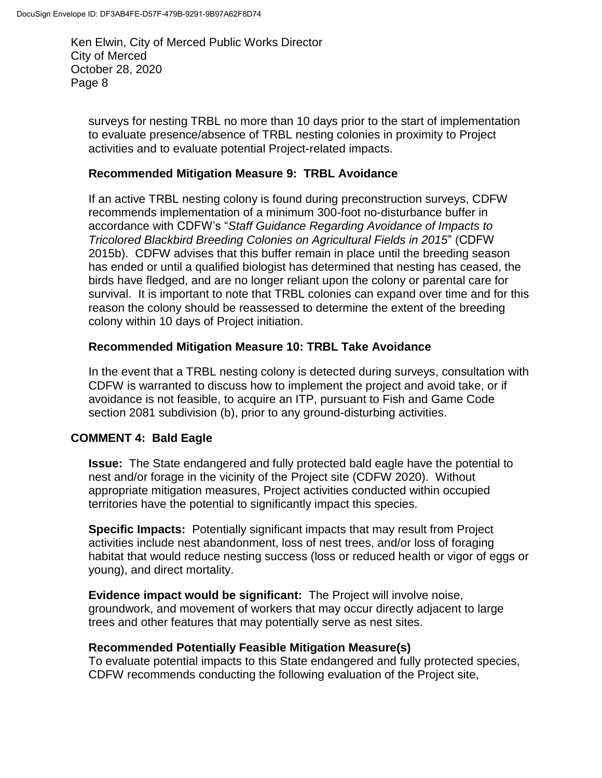surveys for nesting TRBL no more than 10 days prior to the start of implementation to evaluate presence/absence of TRBL nesting colonies in proximity to Project activities and to evaluate potential Project-related impacts.

#### **Recommended Mitigation Measure 9: TRBL Avoidance**

If an active TRBL nesting colony is found during preconstruction surveys, CDFW recommends implementation of a minimum 300-foot no-disturbance buffer in accordance with CDFW's "*Staff Guidance Regarding Avoidance of Impacts to Tricolored Blackbird Breeding Colonies on Agricultural Fields in 2015*" (CDFW 2015b). CDFW advises that this buffer remain in place until the breeding season has ended or until a qualified biologist has determined that nesting has ceased, the birds have fledged, and are no longer reliant upon the colony or parental care for survival. It is important to note that TRBL colonies can expand over time and for this reason the colony should be reassessed to determine the extent of the breeding colony within 10 days of Project initiation.

#### **Recommended Mitigation Measure 10: TRBL Take Avoidance**

In the event that a TRBL nesting colony is detected during surveys, consultation with CDFW is warranted to discuss how to implement the project and avoid take, or if avoidance is not feasible, to acquire an ITP, pursuant to Fish and Game Code section 2081 subdivision (b), prior to any ground-disturbing activities.

#### **COMMENT 4: Bald Eagle**

**Issue:** The State endangered and fully protected bald eagle have the potential to nest and/or forage in the vicinity of the Project site (CDFW 2020). Without appropriate mitigation measures, Project activities conducted within occupied territories have the potential to significantly impact this species.

**Specific Impacts:** Potentially significant impacts that may result from Project activities include nest abandonment, loss of nest trees, and/or loss of foraging habitat that would reduce nesting success (loss or reduced health or vigor of eggs or young), and direct mortality.

**Evidence impact would be significant:** The Project will involve noise, groundwork, and movement of workers that may occur directly adjacent to large trees and other features that may potentially serve as nest sites.

#### **Recommended Potentially Feasible Mitigation Measure(s)**

To evaluate potential impacts to this State endangered and fully protected species, CDFW recommends conducting the following evaluation of the Project site,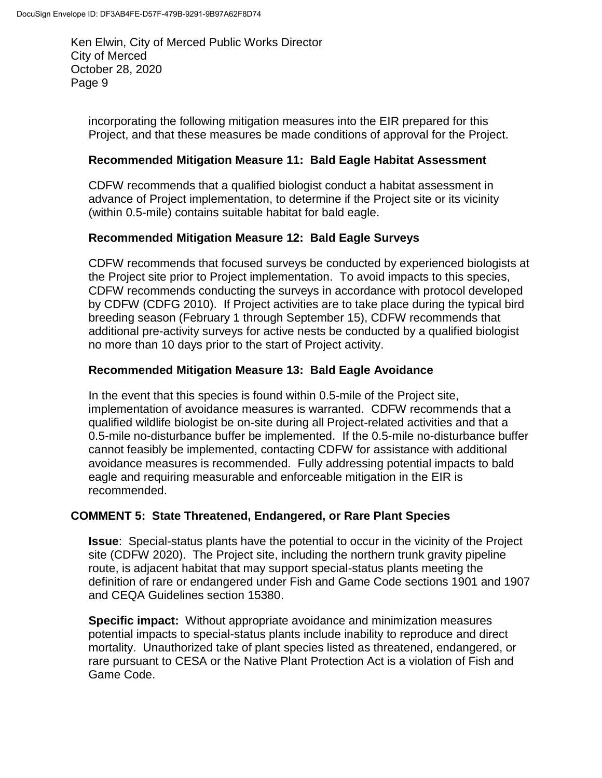incorporating the following mitigation measures into the EIR prepared for this Project, and that these measures be made conditions of approval for the Project.

### **Recommended Mitigation Measure 11: Bald Eagle Habitat Assessment**

CDFW recommends that a qualified biologist conduct a habitat assessment in advance of Project implementation, to determine if the Project site or its vicinity (within 0.5-mile) contains suitable habitat for bald eagle.

## **Recommended Mitigation Measure 12: Bald Eagle Surveys**

CDFW recommends that focused surveys be conducted by experienced biologists at the Project site prior to Project implementation. To avoid impacts to this species, CDFW recommends conducting the surveys in accordance with protocol developed by CDFW (CDFG 2010). If Project activities are to take place during the typical bird breeding season (February 1 through September 15), CDFW recommends that additional pre-activity surveys for active nests be conducted by a qualified biologist no more than 10 days prior to the start of Project activity.

## **Recommended Mitigation Measure 13: Bald Eagle Avoidance**

In the event that this species is found within 0.5-mile of the Project site, implementation of avoidance measures is warranted. CDFW recommends that a qualified wildlife biologist be on-site during all Project-related activities and that a 0.5-mile no-disturbance buffer be implemented. If the 0.5-mile no-disturbance buffer cannot feasibly be implemented, contacting CDFW for assistance with additional avoidance measures is recommended. Fully addressing potential impacts to bald eagle and requiring measurable and enforceable mitigation in the EIR is recommended.

#### **COMMENT 5: State Threatened, Endangered, or Rare Plant Species**

**Issue**: Special-status plants have the potential to occur in the vicinity of the Project site (CDFW 2020). The Project site, including the northern trunk gravity pipeline route, is adjacent habitat that may support special-status plants meeting the definition of rare or endangered under Fish and Game Code sections 1901 and 1907 and CEQA Guidelines section 15380.

**Specific impact:** Without appropriate avoidance and minimization measures potential impacts to special-status plants include inability to reproduce and direct mortality. Unauthorized take of plant species listed as threatened, endangered, or rare pursuant to CESA or the Native Plant Protection Act is a violation of Fish and Game Code.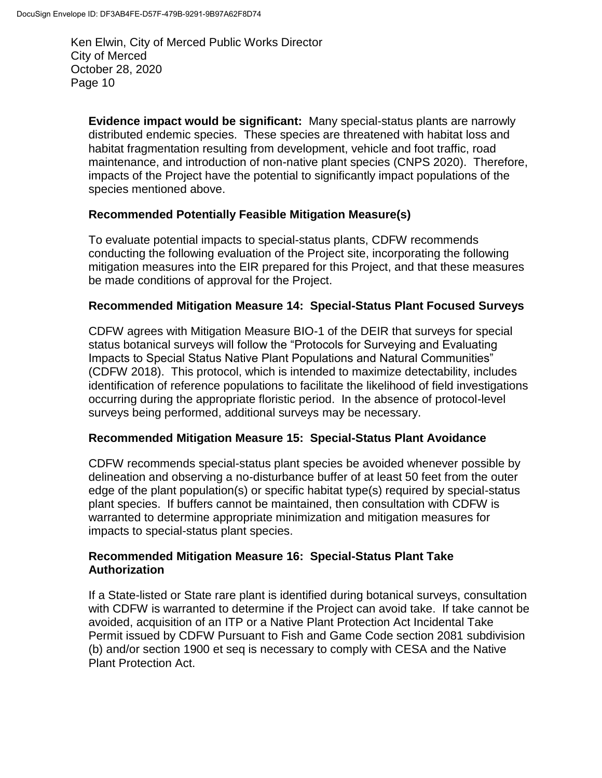**Evidence impact would be significant:** Many special-status plants are narrowly distributed endemic species. These species are threatened with habitat loss and habitat fragmentation resulting from development, vehicle and foot traffic, road maintenance, and introduction of non-native plant species (CNPS 2020). Therefore, impacts of the Project have the potential to significantly impact populations of the species mentioned above.

## **Recommended Potentially Feasible Mitigation Measure(s)**

To evaluate potential impacts to special-status plants, CDFW recommends conducting the following evaluation of the Project site, incorporating the following mitigation measures into the EIR prepared for this Project, and that these measures be made conditions of approval for the Project.

## **Recommended Mitigation Measure 14: Special-Status Plant Focused Surveys**

CDFW agrees with Mitigation Measure BIO-1 of the DEIR that surveys for special status botanical surveys will follow the "Protocols for Surveying and Evaluating Impacts to Special Status Native Plant Populations and Natural Communities" (CDFW 2018). This protocol, which is intended to maximize detectability, includes identification of reference populations to facilitate the likelihood of field investigations occurring during the appropriate floristic period. In the absence of protocol-level surveys being performed, additional surveys may be necessary.

#### **Recommended Mitigation Measure 15: Special-Status Plant Avoidance**

CDFW recommends special-status plant species be avoided whenever possible by delineation and observing a no-disturbance buffer of at least 50 feet from the outer edge of the plant population(s) or specific habitat type(s) required by special-status plant species. If buffers cannot be maintained, then consultation with CDFW is warranted to determine appropriate minimization and mitigation measures for impacts to special-status plant species.

#### **Recommended Mitigation Measure 16: Special-Status Plant Take Authorization**

If a State-listed or State rare plant is identified during botanical surveys, consultation with CDFW is warranted to determine if the Project can avoid take. If take cannot be avoided, acquisition of an ITP or a Native Plant Protection Act Incidental Take Permit issued by CDFW Pursuant to Fish and Game Code section 2081 subdivision (b) and/or section 1900 et seq is necessary to comply with CESA and the Native Plant Protection Act.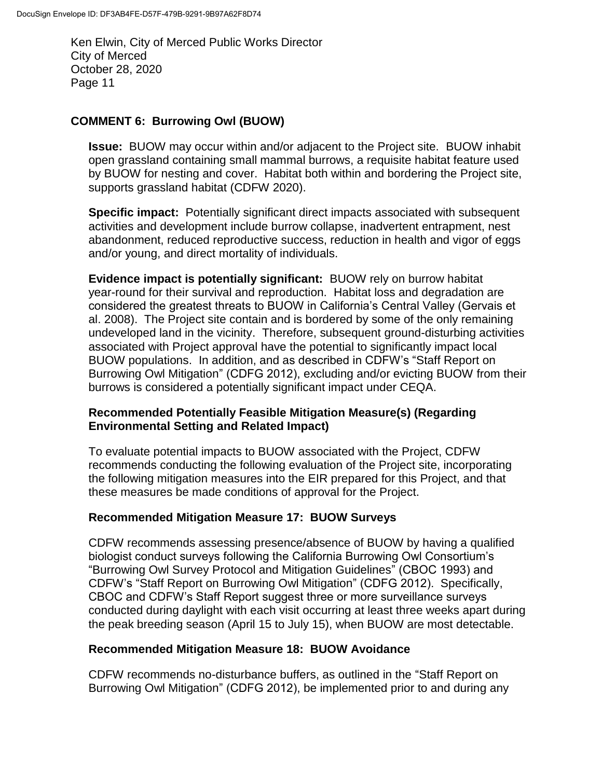## **COMMENT 6: Burrowing Owl (BUOW)**

**Issue:** BUOW may occur within and/or adjacent to the Project site. BUOW inhabit open grassland containing small mammal burrows, a requisite habitat feature used by BUOW for nesting and cover. Habitat both within and bordering the Project site, supports grassland habitat (CDFW 2020).

**Specific impact:** Potentially significant direct impacts associated with subsequent activities and development include burrow collapse, inadvertent entrapment, nest abandonment, reduced reproductive success, reduction in health and vigor of eggs and/or young, and direct mortality of individuals.

**Evidence impact is potentially significant:** BUOW rely on burrow habitat year-round for their survival and reproduction. Habitat loss and degradation are considered the greatest threats to BUOW in California's Central Valley (Gervais et al. 2008). The Project site contain and is bordered by some of the only remaining undeveloped land in the vicinity. Therefore, subsequent ground-disturbing activities associated with Project approval have the potential to significantly impact local BUOW populations. In addition, and as described in CDFW's "Staff Report on Burrowing Owl Mitigation" (CDFG 2012), excluding and/or evicting BUOW from their burrows is considered a potentially significant impact under CEQA.

## **Recommended Potentially Feasible Mitigation Measure(s) (Regarding Environmental Setting and Related Impact)**

To evaluate potential impacts to BUOW associated with the Project, CDFW recommends conducting the following evaluation of the Project site, incorporating the following mitigation measures into the EIR prepared for this Project, and that these measures be made conditions of approval for the Project.

#### **Recommended Mitigation Measure 17: BUOW Surveys**

CDFW recommends assessing presence/absence of BUOW by having a qualified biologist conduct surveys following the California Burrowing Owl Consortium's "Burrowing Owl Survey Protocol and Mitigation Guidelines" (CBOC 1993) and CDFW's "Staff Report on Burrowing Owl Mitigation" (CDFG 2012). Specifically, CBOC and CDFW's Staff Report suggest three or more surveillance surveys conducted during daylight with each visit occurring at least three weeks apart during the peak breeding season (April 15 to July 15), when BUOW are most detectable.

#### **Recommended Mitigation Measure 18: BUOW Avoidance**

CDFW recommends no-disturbance buffers, as outlined in the "Staff Report on Burrowing Owl Mitigation" (CDFG 2012), be implemented prior to and during any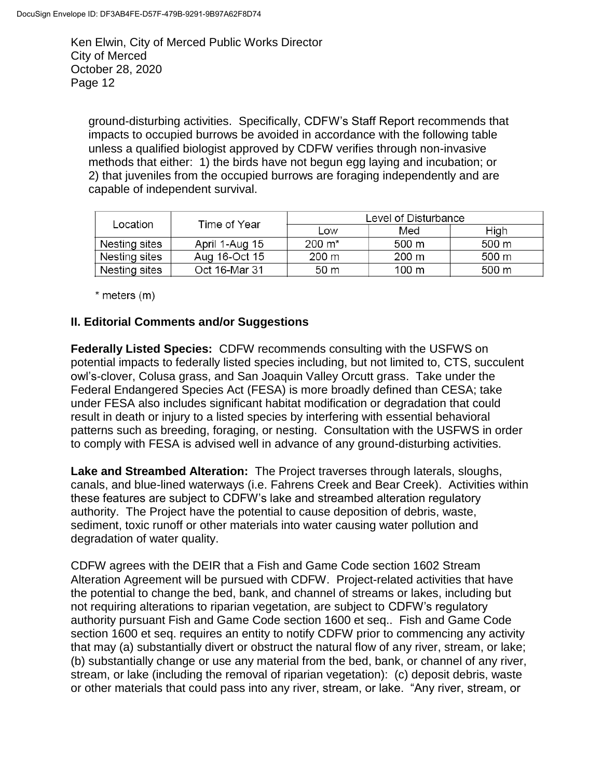ground-disturbing activities. Specifically, CDFW's Staff Report recommends that impacts to occupied burrows be avoided in accordance with the following table unless a qualified biologist approved by CDFW verifies through non-invasive methods that either: 1) the birds have not begun egg laying and incubation; or 2) that juveniles from the occupied burrows are foraging independently and are capable of independent survival.

| Location      | Time of Year   | Level of Disturbance |       |       |
|---------------|----------------|----------------------|-------|-------|
|               |                | Low                  | Med   | High  |
| Nesting sites | April 1-Aug 15 | $200 \; \text{m}^*$  | 500 m | 500 m |
| Nesting sites | Aug 16-Oct 15  | 200 m                | 200 m | 500 m |
| Nesting sites | Oct 16-Mar 31  | 50 m                 | 100 m | 500 m |

 $*$  meters  $(m)$ 

#### **II. Editorial Comments and/or Suggestions**

**Federally Listed Species:** CDFW recommends consulting with the USFWS on potential impacts to federally listed species including, but not limited to, CTS, succulent owl's-clover, Colusa grass, and San Joaquin Valley Orcutt grass. Take under the Federal Endangered Species Act (FESA) is more broadly defined than CESA; take under FESA also includes significant habitat modification or degradation that could result in death or injury to a listed species by interfering with essential behavioral patterns such as breeding, foraging, or nesting. Consultation with the USFWS in order to comply with FESA is advised well in advance of any ground-disturbing activities.

**Lake and Streambed Alteration:** The Project traverses through laterals, sloughs, canals, and blue-lined waterways (i.e. Fahrens Creek and Bear Creek). Activities within these features are subject to CDFW's lake and streambed alteration regulatory authority. The Project have the potential to cause deposition of debris, waste, sediment, toxic runoff or other materials into water causing water pollution and degradation of water quality.

CDFW agrees with the DEIR that a Fish and Game Code section 1602 Stream Alteration Agreement will be pursued with CDFW. Project-related activities that have the potential to change the bed, bank, and channel of streams or lakes, including but not requiring alterations to riparian vegetation, are subject to CDFW's regulatory authority pursuant Fish and Game Code section 1600 et seq.. Fish and Game Code section 1600 et seq. requires an entity to notify CDFW prior to commencing any activity that may (a) substantially divert or obstruct the natural flow of any river, stream, or lake; (b) substantially change or use any material from the bed, bank, or channel of any river, stream, or lake (including the removal of riparian vegetation): (c) deposit debris, waste or other materials that could pass into any river, stream, or lake. "Any river, stream, or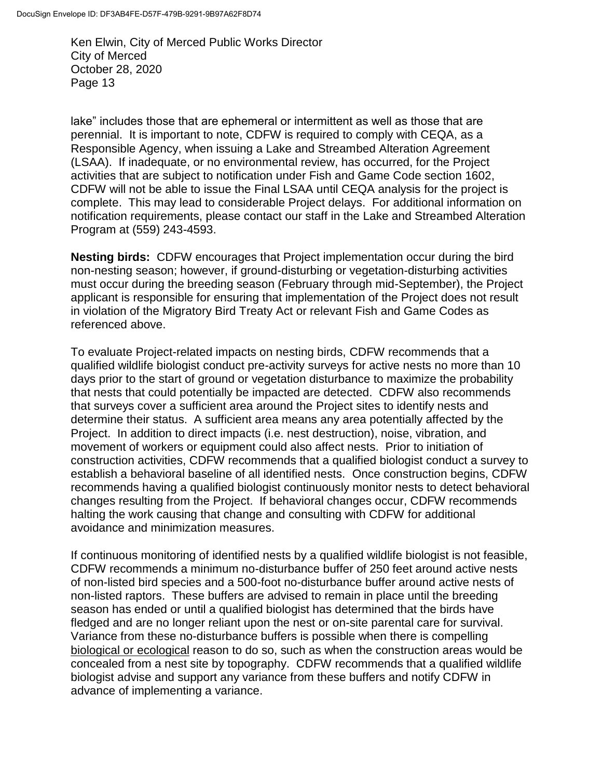lake" includes those that are ephemeral or intermittent as well as those that are perennial. It is important to note, CDFW is required to comply with CEQA, as a Responsible Agency, when issuing a Lake and Streambed Alteration Agreement (LSAA). If inadequate, or no environmental review, has occurred, for the Project activities that are subject to notification under Fish and Game Code section 1602, CDFW will not be able to issue the Final LSAA until CEQA analysis for the project is complete. This may lead to considerable Project delays. For additional information on notification requirements, please contact our staff in the Lake and Streambed Alteration Program at (559) 243-4593.

**Nesting birds:** CDFW encourages that Project implementation occur during the bird non-nesting season; however, if ground-disturbing or vegetation-disturbing activities must occur during the breeding season (February through mid-September), the Project applicant is responsible for ensuring that implementation of the Project does not result in violation of the Migratory Bird Treaty Act or relevant Fish and Game Codes as referenced above.

To evaluate Project-related impacts on nesting birds, CDFW recommends that a qualified wildlife biologist conduct pre-activity surveys for active nests no more than 10 days prior to the start of ground or vegetation disturbance to maximize the probability that nests that could potentially be impacted are detected. CDFW also recommends that surveys cover a sufficient area around the Project sites to identify nests and determine their status. A sufficient area means any area potentially affected by the Project. In addition to direct impacts (i.e. nest destruction), noise, vibration, and movement of workers or equipment could also affect nests. Prior to initiation of construction activities, CDFW recommends that a qualified biologist conduct a survey to establish a behavioral baseline of all identified nests. Once construction begins, CDFW recommends having a qualified biologist continuously monitor nests to detect behavioral changes resulting from the Project. If behavioral changes occur, CDFW recommends halting the work causing that change and consulting with CDFW for additional avoidance and minimization measures.

If continuous monitoring of identified nests by a qualified wildlife biologist is not feasible, CDFW recommends a minimum no-disturbance buffer of 250 feet around active nests of non-listed bird species and a 500-foot no-disturbance buffer around active nests of non-listed raptors. These buffers are advised to remain in place until the breeding season has ended or until a qualified biologist has determined that the birds have fledged and are no longer reliant upon the nest or on-site parental care for survival. Variance from these no-disturbance buffers is possible when there is compelling biological or ecological reason to do so, such as when the construction areas would be concealed from a nest site by topography. CDFW recommends that a qualified wildlife biologist advise and support any variance from these buffers and notify CDFW in advance of implementing a variance.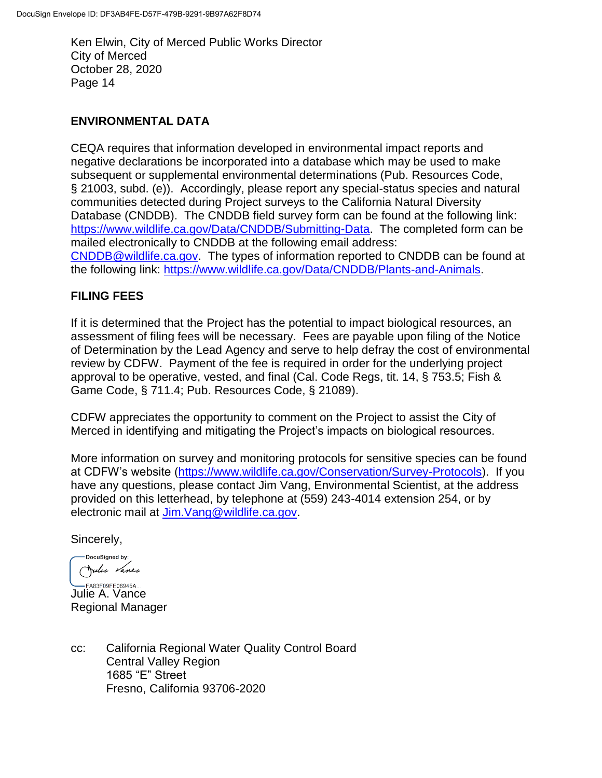## **ENVIRONMENTAL DATA**

CEQA requires that information developed in environmental impact reports and negative declarations be incorporated into a database which may be used to make subsequent or supplemental environmental determinations (Pub. Resources Code, § 21003, subd. (e)). Accordingly, please report any special-status species and natural communities detected during Project surveys to the California Natural Diversity Database (CNDDB). The CNDDB field survey form can be found at the following link: [https://www.wildlife.ca.gov/Data/CNDDB/Submitting-Data.](https://www.wildlife.ca.gov/Data/CNDDB/Submitting-Data) The completed form can be mailed electronically to CNDDB at the following email address: [CNDDB@wildlife.ca.gov.](mailto:CNDDB@wildlife.ca.gov) The types of information reported to CNDDB can be found at the following link: [https://www.wildlife.ca.gov/Data/CNDDB/Plants-and-Animals.](https://www.wildlife.ca.gov/Data/CNDDB/Plants-and-Animals)

## **FILING FEES**

If it is determined that the Project has the potential to impact biological resources, an assessment of filing fees will be necessary. Fees are payable upon filing of the Notice of Determination by the Lead Agency and serve to help defray the cost of environmental review by CDFW. Payment of the fee is required in order for the underlying project approval to be operative, vested, and final (Cal. Code Regs, tit. 14, § 753.5; Fish & Game Code, § 711.4; Pub. Resources Code, § 21089).

CDFW appreciates the opportunity to comment on the Project to assist the City of Merced in identifying and mitigating the Project's impacts on biological resources.

More information on survey and monitoring protocols for sensitive species can be found at CDFW's website [\(https://www.wildlife.ca.gov/Conservation/Survey-Protocols\)](https://www.wildlife.ca.gov/Conservation/Survey-Protocols). If you have any questions, please contact Jim Vang, Environmental Scientist, at the address provided on this letterhead, by telephone at (559) 243-4014 extension 254, or by electronic mail at [Jim.Vang@wildlife.ca.gov.](mailto:Jim.Vang@wildlife.ca.gov)

Sincerely,

-DocuSigned by: Julie Vance

**CASSFOSFEOS945A...**<br>Julie A. Vance Regional Manager

cc: California Regional Water Quality Control Board Central Valley Region 1685 "E" Street Fresno, California 93706-2020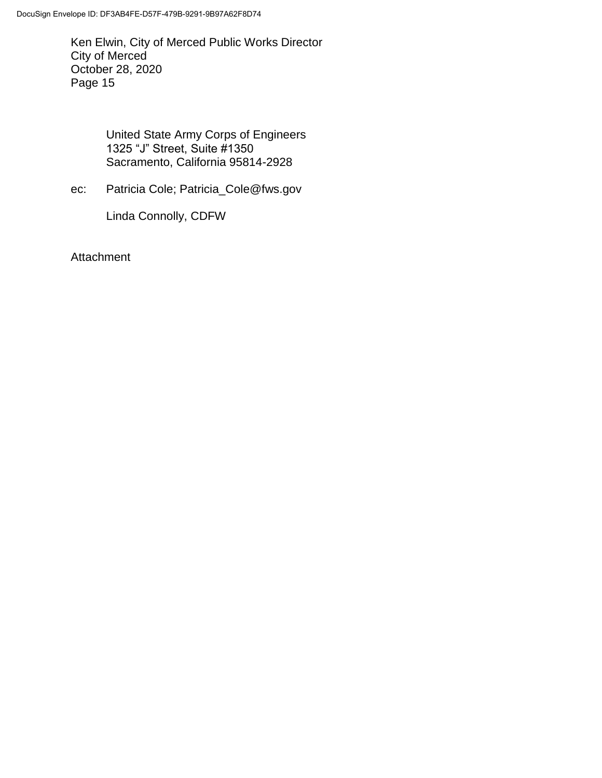> United State Army Corps of Engineers 1325 "J" Street, Suite #1350 Sacramento, California 95814-2928

ec: Patricia Cole; Patricia\_Cole@fws.gov

Linda Connolly, CDFW

Attachment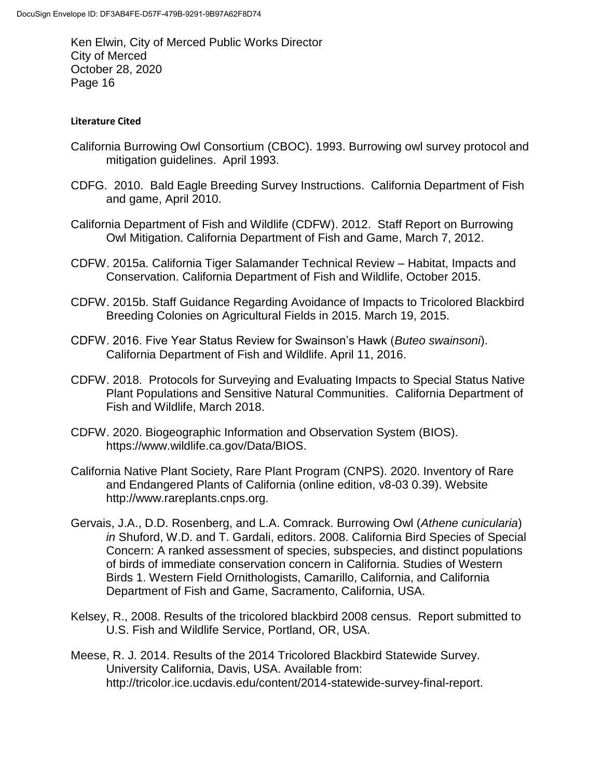#### **Literature Cited**

- California Burrowing Owl Consortium (CBOC). 1993. Burrowing owl survey protocol and mitigation guidelines. April 1993.
- CDFG. 2010. Bald Eagle Breeding Survey Instructions. California Department of Fish and game, April 2010.
- California Department of Fish and Wildlife (CDFW). 2012. Staff Report on Burrowing Owl Mitigation. California Department of Fish and Game, March 7, 2012.
- CDFW. 2015a. California Tiger Salamander Technical Review Habitat, Impacts and Conservation. California Department of Fish and Wildlife, October 2015.
- CDFW. 2015b. Staff Guidance Regarding Avoidance of Impacts to Tricolored Blackbird Breeding Colonies on Agricultural Fields in 2015. March 19, 2015.
- CDFW. 2016. Five Year Status Review for Swainson's Hawk (*Buteo swainsoni*). California Department of Fish and Wildlife. April 11, 2016.
- CDFW. 2018. Protocols for Surveying and Evaluating Impacts to Special Status Native Plant Populations and Sensitive Natural Communities. California Department of Fish and Wildlife, March 2018.
- CDFW. 2020. Biogeographic Information and Observation System (BIOS). https://www.wildlife.ca.gov/Data/BIOS.
- California Native Plant Society, Rare Plant Program (CNPS). 2020. Inventory of Rare and Endangered Plants of California (online edition, v8-03 0.39). Website http://www.rareplants.cnps.org.
- Gervais, J.A., D.D. Rosenberg, and L.A. Comrack. Burrowing Owl (*Athene cunicularia*) *in* Shuford, W.D. and T. Gardali, editors. 2008. California Bird Species of Special Concern: A ranked assessment of species, subspecies, and distinct populations of birds of immediate conservation concern in California. Studies of Western Birds 1. Western Field Ornithologists, Camarillo, California, and California Department of Fish and Game, Sacramento, California, USA.
- Kelsey, R., 2008. Results of the tricolored blackbird 2008 census. Report submitted to U.S. Fish and Wildlife Service, Portland, OR, USA.
- Meese, R. J. 2014. Results of the 2014 Tricolored Blackbird Statewide Survey. University California, Davis, USA. Available from: http://tricolor.ice.ucdavis.edu/content/2014-statewide-survey-final-report.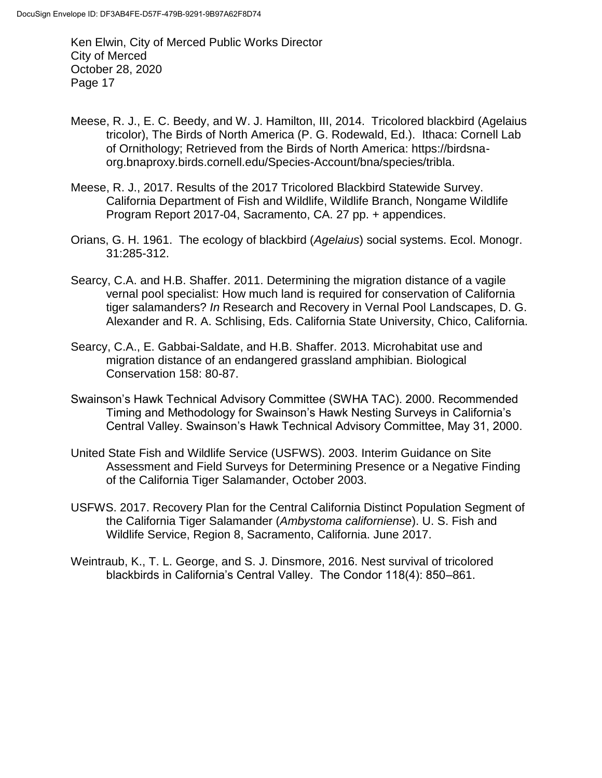- Meese, R. J., E. C. Beedy, and W. J. Hamilton, III, 2014. Tricolored blackbird (Agelaius tricolor), The Birds of North America (P. G. Rodewald, Ed.). Ithaca: Cornell Lab of Ornithology; Retrieved from the Birds of North America: https://birdsnaorg.bnaproxy.birds.cornell.edu/Species-Account/bna/species/tribla.
- Meese, R. J., 2017. Results of the 2017 Tricolored Blackbird Statewide Survey. California Department of Fish and Wildlife, Wildlife Branch, Nongame Wildlife Program Report 2017-04, Sacramento, CA. 27 pp. + appendices.
- Orians, G. H. 1961. The ecology of blackbird (*Agelaius*) social systems. Ecol. Monogr. 31:285-312.
- Searcy, C.A. and H.B. Shaffer. 2011. Determining the migration distance of a vagile vernal pool specialist: How much land is required for conservation of California tiger salamanders? *In* Research and Recovery in Vernal Pool Landscapes, D. G. Alexander and R. A. Schlising, Eds. California State University, Chico, California.
- Searcy, C.A., E. Gabbai-Saldate, and H.B. Shaffer. 2013. Microhabitat use and migration distance of an endangered grassland amphibian. Biological Conservation 158: 80-87.
- Swainson's Hawk Technical Advisory Committee (SWHA TAC). 2000. Recommended Timing and Methodology for Swainson's Hawk Nesting Surveys in California's Central Valley. Swainson's Hawk Technical Advisory Committee, May 31, 2000.
- United State Fish and Wildlife Service (USFWS). 2003. Interim Guidance on Site Assessment and Field Surveys for Determining Presence or a Negative Finding of the California Tiger Salamander, October 2003.
- USFWS. 2017. Recovery Plan for the Central California Distinct Population Segment of the California Tiger Salamander (*Ambystoma californiense*). U. S. Fish and Wildlife Service, Region 8, Sacramento, California. June 2017.
- Weintraub, K., T. L. George, and S. J. Dinsmore, 2016. Nest survival of tricolored blackbirds in California's Central Valley. The Condor 118(4): 850–861.